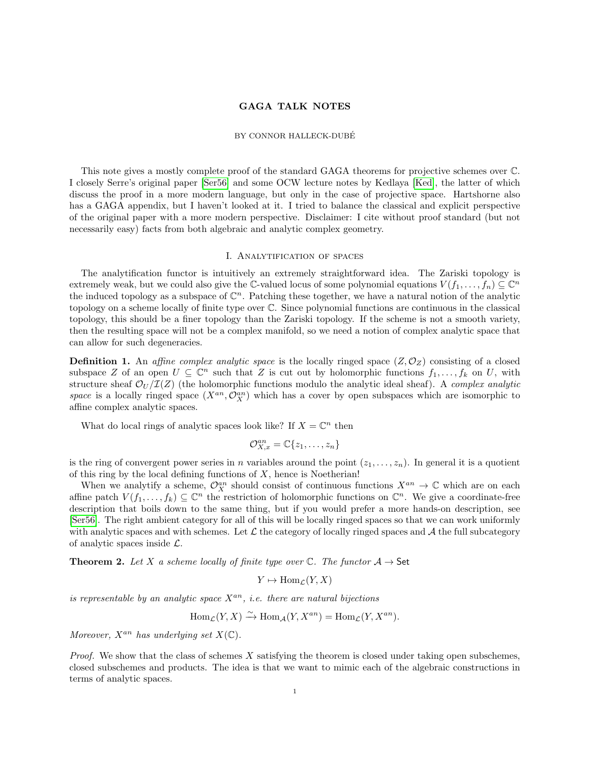## GAGA TALK NOTES

#### BY CONNOR HALLECK-DUBE´

This note gives a mostly complete proof of the standard GAGA theorems for projective schemes over C. I closely Serre's original paper [\[Ser56\]](#page-7-0) and some OCW lecture notes by Kedlaya [\[Ked\]](#page-7-1), the latter of which discuss the proof in a more modern language, but only in the case of projective space. Hartshorne also has a GAGA appendix, but I haven't looked at it. I tried to balance the classical and explicit perspective of the original paper with a more modern perspective. Disclaimer: I cite without proof standard (but not necessarily easy) facts from both algebraic and analytic complex geometry.

### I. Analytification of spaces

The analytification functor is intuitively an extremely straightforward idea. The Zariski topology is extremely weak, but we could also give the C-valued locus of some polynomial equations  $V(f_1, \ldots, f_n) \subseteq \mathbb{C}^n$ the induced topology as a subspace of  $\mathbb{C}^n$ . Patching these together, we have a natural notion of the analytic topology on a scheme locally of finite type over C. Since polynomial functions are continuous in the classical topology, this should be a finer topology than the Zariski topology. If the scheme is not a smooth variety, then the resulting space will not be a complex manifold, so we need a notion of complex analytic space that can allow for such degeneracies.

**Definition 1.** An affine complex analytic space is the locally ringed space  $(Z, \mathcal{O}_Z)$  consisting of a closed subspace Z of an open  $U \subseteq \mathbb{C}^n$  such that Z is cut out by holomorphic functions  $f_1, \ldots, f_k$  on U, with structure sheaf  $\mathcal{O}_U/\mathcal{I}(Z)$  (the holomorphic functions modulo the analytic ideal sheaf). A complex analytic space is a locally ringed space  $(X^{an}, \mathcal{O}_X^{an})$  which has a cover by open subspaces which are isomorphic to affine complex analytic spaces.

What do local rings of analytic spaces look like? If  $X = \mathbb{C}^n$  then

$$
\mathcal{O}_{X,x}^{an} = \mathbb{C}\{z_1,\ldots,z_n\}
$$

is the ring of convergent power series in n variables around the point  $(z_1, \ldots, z_n)$ . In general it is a quotient of this ring by the local defining functions of  $X$ , hence is Noetherian!

When we analytify a scheme,  $\mathcal{O}_X^{an}$  should consist of continuous functions  $X^{an} \to \mathbb{C}$  which are on each affine patch  $V(f_1,\ldots,f_k) \subseteq \mathbb{C}^n$  the restriction of holomorphic functions on  $\mathbb{C}^n$ . We give a coordinate-free description that boils down to the same thing, but if you would prefer a more hands-on description, see [\[Ser56\]](#page-7-0). The right ambient category for all of this will be locally ringed spaces so that we can work uniformly with analytic spaces and with schemes. Let  $\mathcal L$  the category of locally ringed spaces and  $\mathcal A$  the full subcategory of analytic spaces inside L.

**Theorem 2.** Let X a scheme locally of finite type over  $\mathbb{C}$ . The functor  $\mathcal{A} \to \mathsf{Set}$ 

$$
Y \mapsto \text{Hom}_{\mathcal{L}}(Y, X)
$$

is representable by an analytic space  $X^{an}$ , i.e. there are natural bijections

$$
\operatorname{Hom}_{\mathcal{L}}(Y, X) \xrightarrow{\sim} \operatorname{Hom}_{\mathcal{A}}(Y, X^{an}) = \operatorname{Hom}_{\mathcal{L}}(Y, X^{an}).
$$

Moreover,  $X^{an}$  has underlying set  $X(\mathbb{C})$ .

*Proof.* We show that the class of schemes  $X$  satisfying the theorem is closed under taking open subschemes, closed subschemes and products. The idea is that we want to mimic each of the algebraic constructions in terms of analytic spaces.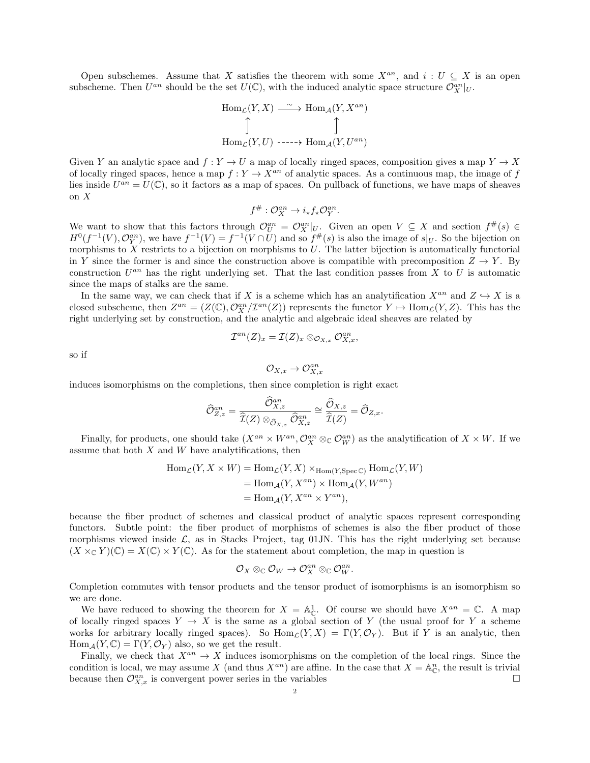Open subschemes. Assume that X satisfies the theorem with some  $X^{an}$ , and  $i: U \subseteq X$  is an open subscheme. Then  $U^{an}$  should be the set  $U(\mathbb{C})$ , with the induced analytic space structure  $\mathcal{O}_X^{an}|_U$ .

$$
\text{Hom}_{\mathcal{L}}(Y, X) \xrightarrow{\sim} \text{Hom}_{\mathcal{A}}(Y, X^{an})
$$
\n
$$
\uparrow \qquad \qquad \uparrow
$$
\n
$$
\text{Hom}_{\mathcal{L}}(Y, U) \xrightarrow{\cdot \cdot \cdot \cdot} \text{Hom}_{\mathcal{A}}(Y, U^{an})
$$

Given Y an analytic space and  $f: Y \to U$  a map of locally ringed spaces, composition gives a map  $Y \to X$ of locally ringed spaces, hence a map  $f: Y \to X^{an}$  of analytic spaces. As a continuous map, the image of f lies inside  $U^{an} = U(\mathbb{C})$ , so it factors as a map of spaces. On pullback of functions, we have maps of sheaves on X

$$
f^{\#}: \mathcal{O}_X^{an} \to i_{\star} f_{\star} \mathcal{O}_Y^{an}.
$$

We want to show that this factors through  $\mathcal{O}_{U}^{an} = \mathcal{O}_{X}^{an}|_{U}$ . Given an open  $V \subseteq X$  and section  $f^{\#}(s) \in$  $H^0(f^{-1}(V), \mathcal{O}_Y^{an})$ , we have  $f^{-1}(V) = f^{-1}(V \cap U)$  and so  $f^{\#}(s)$  is also the image of  $s|_U$ . So the bijection on morphisms to  $X$  restricts to a bijection on morphisms to  $U$ . The latter bijection is automatically functorial in Y since the former is and since the construction above is compatible with precomposition  $Z \to Y$ . By construction  $U^{an}$  has the right underlying set. That the last condition passes from X to U is automatic since the maps of stalks are the same.

In the same way, we can check that if X is a scheme which has an analytification  $X^{an}$  and  $Z \hookrightarrow X$  is a closed subscheme, then  $Z^{an} = (Z(\mathbb{C}), \mathcal{O}_X^{an}/\mathcal{I}^{an}(Z))$  represents the functor  $Y \mapsto \text{Hom}_{\mathcal{L}}(Y, Z)$ . This has the right underlying set by construction, and the analytic and algebraic ideal sheaves are related by

$$
\mathcal{I}^{an}(Z)_x=\mathcal{I}(Z)_x\otimes_{\mathcal{O}_{X,x}}\mathcal{O}_{X,x}^{an},
$$

so if

$$
\mathcal O_{X,x}\to \mathcal O_{X,x}^{an}
$$

induces isomorphisms on the completions, then since completion is right exact

$$
\widehat{\mathcal{O}}_{Z,z}^{an} = \frac{\widehat{\mathcal{O}}_{X,z}^{an}}{\widehat{\mathcal{I}}(Z) \otimes_{\widehat{\mathcal{O}}_{X,z}} \widehat{\mathcal{O}}_{X,z}^{an}} \cong \frac{\widehat{\mathcal{O}}_{X,z}}{\widehat{\mathcal{I}}(Z)} = \widehat{\mathcal{O}}_{Z,x}.
$$

Finally, for products, one should take  $(X^{an} \times W^{an}, \mathcal{O}_X^{an} \otimes_{\mathbb{C}} \mathcal{O}_W^{an})$  as the analytification of  $X \times W$ . If we assume that both  $X$  and  $W$  have analytifications, then

$$
Hom_{\mathcal{L}}(Y, X \times W) = Hom_{\mathcal{L}}(Y, X) \times_{Hom(Y, \text{Spec } \mathbb{C})} Hom_{\mathcal{L}}(Y, W)
$$
  
= Hom\_{\mathcal{A}}(Y, X^{an}) \times Hom\_{\mathcal{A}}(Y, W^{an})  
= Hom\_{\mathcal{A}}(Y, X^{an} \times Y^{an}),

because the fiber product of schemes and classical product of analytic spaces represent corresponding functors. Subtle point: the fiber product of morphisms of schemes is also the fiber product of those morphisms viewed inside  $\mathcal{L}$ , as in Stacks Project, tag 01JN. This has the right underlying set because  $(X \times_{\mathbb{C}} Y)(\mathbb{C}) = X(\mathbb{C}) \times Y(\mathbb{C})$ . As for the statement about completion, the map in question is

$$
\mathcal O_X\otimes_\mathbb C \mathcal O_W\to \mathcal O_X^{an}\otimes_\mathbb C \mathcal O_W^{an}.
$$

Completion commutes with tensor products and the tensor product of isomorphisms is an isomorphism so we are done.

We have reduced to showing the theorem for  $X = \mathbb{A}_{\mathbb{C}}^1$ . Of course we should have  $X^{an} = \mathbb{C}$ . A map of locally ringed spaces  $Y \to X$  is the same as a global section of Y (the usual proof for Y a scheme works for arbitrary locally ringed spaces). So  $\text{Hom}_{\mathcal{L}}(Y, X) = \Gamma(Y, \mathcal{O}_Y)$ . But if Y is an analytic, then  $\text{Hom}_{\mathcal{A}}(Y,\mathbb{C})=\Gamma(Y,\mathcal{O}_Y)$  also, so we get the result.

Finally, we check that  $X^{an} \to X$  induces isomorphisms on the completion of the local rings. Since the condition is local, we may assume X (and thus  $X^{an}$ ) are affine. In the case that  $X = \mathbb{A}_{\mathbb{C}}^n$ , the result is trivial because then  $\mathcal{O}_{X,x}^{an}$  is convergent power series in the variables  $\Box$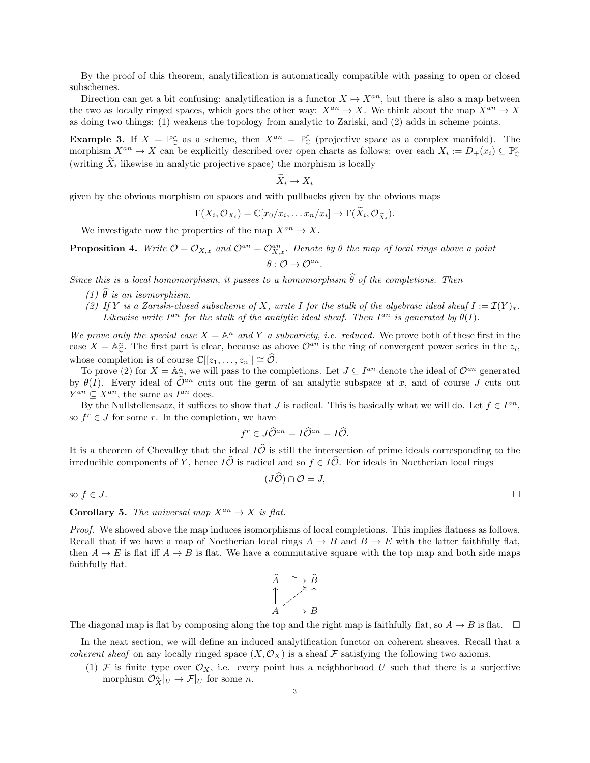By the proof of this theorem, analytification is automatically compatible with passing to open or closed subschemes.

Direction can get a bit confusing: analytification is a functor  $X \mapsto X^{an}$ , but there is also a map between the two as locally ringed spaces, which goes the other way:  $X^{an} \to X$ . We think about the map  $X^{an} \to X$ as doing two things: (1) weakens the topology from analytic to Zariski, and (2) adds in scheme points.

**Example 3.** If  $X = \mathbb{P}_{\mathbb{C}}^r$  as a scheme, then  $X^{an} = \mathbb{P}_{\mathbb{C}}^r$  (projective space as a complex manifold). The morphism  $X^{an} \to X$  can be explicitly described over open charts as follows: over each  $X_i := D_+(x_i) \subseteq \mathbb{P}^r_{\mathbb{C}}$ (writing  $X_i$  likewise in analytic projective space) the morphism is locally

$$
X_i \to X_i
$$

given by the obvious morphism on spaces and with pullbacks given by the obvious maps

$$
\Gamma(X_i, \mathcal{O}_{X_i}) = \mathbb{C}[x_0/x_i, \dots x_n/x_i] \to \Gamma(\widetilde{X}_i, \mathcal{O}_{\widetilde{X}_i}).
$$

We investigate now the properties of the map  $X^{an} \to X$ .

**Proposition 4.** Write  $\mathcal{O} = \mathcal{O}_{X,x}$  and  $\mathcal{O}^{an} = \mathcal{O}_{X,x}^{an}$ . Denote by  $\theta$  the map of local rings above a point  $\theta: \mathcal{O} \to \mathcal{O}^{an}.$ 

Since this is a local homomorphism, it passes to a homomorphism  $\widehat{\theta}$  of the completions. Then

- (1)  $\hat{\theta}$  is an isomorphism.
- (2) If Y is a Zariski-closed subscheme of X, write I for the stalk of the algebraic ideal sheaf  $I := \mathcal{I}(Y)_x$ . Likewise write  $I^{an}$  for the stalk of the analytic ideal sheaf. Then  $I^{an}$  is generated by  $\theta(I)$ .

We prove only the special case  $X = \mathbb{A}^n$  and Y a subvariety, i.e. reduced. We prove both of these first in the case  $X = \mathbb{A}_{\mathbb{C}}^n$ . The first part is clear, because as above  $\mathcal{O}^{an}$  is the ring of convergent power series in the  $z_i$ , whose completion is of course  $\mathbb{C}[[z_1, \ldots, z_n]] \cong \widehat{\mathcal{O}}$ .

To prove (2) for  $X = \mathbb{A}^n_{\mathbb{C}}$ , we will pass to the completions. Let  $J \subseteq I^{an}$  denote the ideal of  $\mathcal{O}^{an}$  generated by  $\theta(I)$ . Every ideal of  $\mathcal{O}^{an}$  cuts out the germ of an analytic subspace at x, and of course J cuts out  $Y^{an} \subseteq X^{an}$ , the same as  $I^{an}$  does.

By the Nullstellensatz, it suffices to show that J is radical. This is basically what we will do. Let  $f \in I^{an}$ , so  $f^r \in J$  for some r. In the completion, we have

$$
f^r \in J\widehat{\mathcal{O}}^{an} = I\widehat{\mathcal{O}}^{an} = I\widehat{\mathcal{O}}.
$$

It is a theorem of Chevalley that the ideal  $I\hat{\mathcal{O}}$  is still the intersection of prime ideals corresponding to the irreducible components of Y, hence  $I\widehat{\mathcal{O}}$  is radical and so  $f \in I\widehat{\mathcal{O}}$ . For ideals in Noetherian local rings

$$
(J\widehat{\mathcal{O}}) \cap \mathcal{O} = J,
$$

so  $f \in J$ .

# **Corollary 5.** The universal map  $X^{an} \to X$  is flat.

Proof. We showed above the map induces isomorphisms of local completions. This implies flatness as follows. Recall that if we have a map of Noetherian local rings  $A \to B$  and  $B \to E$  with the latter faithfully flat, then  $A \to E$  is flat iff  $A \to B$  is flat. We have a commutative square with the top map and both side maps faithfully flat.

$$
\begin{array}{ccc}\n\widehat{A} & \xrightarrow{\sim} & \widehat{B} \\
\uparrow & & \nearrow & \\
A & \xrightarrow{\nearrow} & & \\
B & & \xrightarrow{\qquad} & B\n\end{array}
$$

The diagonal map is flat by composing along the top and the right map is faithfully flat, so  $A \to B$  is flat.  $\square$ 

In the next section, we will define an induced analytification functor on coherent sheaves. Recall that a *coherent sheaf* on any locally ringed space  $(X, \mathcal{O}_X)$  is a sheaf F satisfying the following two axioms.

(1) F is finite type over  $\mathcal{O}_X$ , i.e. every point has a neighborhood U such that there is a surjective morphism  $\mathcal{O}_X^n|_U \to \mathcal{F}|_U$  for some *n*.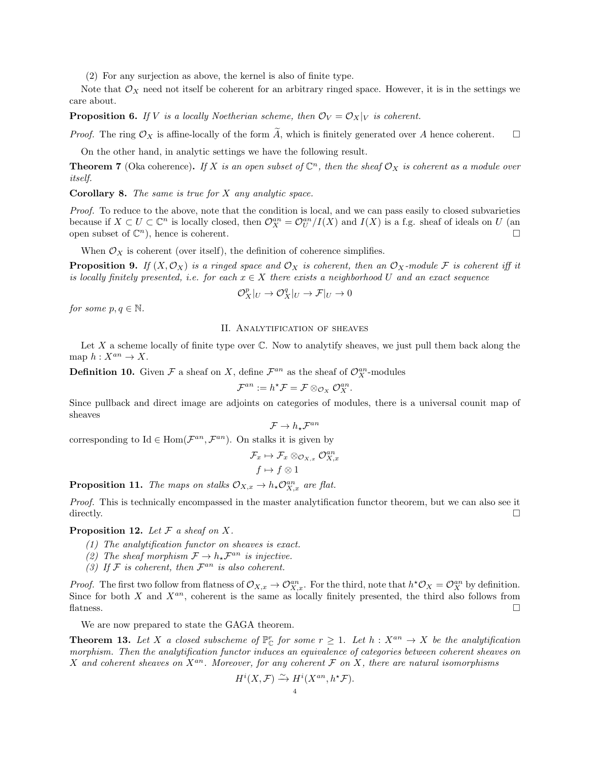(2) For any surjection as above, the kernel is also of finite type.

Note that  $\mathcal{O}_X$  need not itself be coherent for an arbitrary ringed space. However, it is in the settings we care about.

**Proposition 6.** If V is a locally Noetherian scheme, then  $\mathcal{O}_V = \mathcal{O}_X|_V$  is coherent.

*Proof.* The ring  $\mathcal{O}_X$  is affine-locally of the form  $\widetilde{A}$ , which is finitely generated over A hence coherent.  $\square$ 

On the other hand, in analytic settings we have the following result.

**Theorem 7** (Oka coherence). If X is an open subset of  $\mathbb{C}^n$ , then the sheaf  $\mathcal{O}_X$  is coherent as a module over itself.

**Corollary 8.** The same is true for  $X$  any analytic space.

Proof. To reduce to the above, note that the condition is local, and we can pass easily to closed subvarieties because if  $X \subset U \subset \mathbb{C}^n$  is locally closed, then  $\mathcal{O}_X^{an} = \mathcal{O}_U^{an}/I(X)$  and  $I(X)$  is a f.g. sheaf of ideals on U (an open subset of  $\mathbb{C}^n$ , hence is coherent.

When  $\mathcal{O}_X$  is coherent (over itself), the definition of coherence simplifies.

**Proposition 9.** If  $(X, \mathcal{O}_X)$  is a ringed space and  $\mathcal{O}_X$  is coherent, then an  $\mathcal{O}_X$ -module F is coherent iff it is locally finitely presented, i.e. for each  $x \in X$  there exists a neighborhood U and an exact sequence

$$
\mathcal{O}_X^p|_U \to \mathcal{O}_X^q|_U \to \mathcal{F}|_U \to 0
$$

for some  $p, q \in \mathbb{N}$ .

## II. ANALYTIFICATION OF SHEAVES

Let  $X$  a scheme locally of finite type over  $\mathbb C$ . Now to analytify sheaves, we just pull them back along the map  $h: X^{an} \to X$ .

**Definition 10.** Given  $\mathcal F$  a sheaf on X, define  $\mathcal F^{an}$  as the sheaf of  $\mathcal O_X^{an}$ -modules

$$
\mathcal{F}^{an}:=h^{\star}\mathcal{F}=\mathcal{F}\otimes_{\mathcal{O}_X}\mathcal{O}_X^{an}.
$$

Since pullback and direct image are adjoints on categories of modules, there is a universal counit map of sheaves

$$
\mathcal{F} \to h_\star \mathcal{F}^{an}
$$

corresponding to Id  $\in$  Hom $(\mathcal{F}^{an}, \mathcal{F}^{an})$ . On stalks it is given by

$$
\mathcal{F}_x \mapsto \mathcal{F}_x \otimes_{\mathcal{O}_{X,x}} \mathcal{O}_{X,x}^{an}
$$

$$
f \mapsto f \otimes 1
$$

**Proposition 11.** The maps on stalks  $\mathcal{O}_{X,x} \to h_* \mathcal{O}_{X,x}^{an}$  are flat.

Proof. This is technically encompassed in the master analytification functor theorem, but we can also see it directly.  $\Box$ 

## **Proposition 12.** Let  $\mathcal F$  a sheaf on  $X$ .

- (1) The analytification functor on sheaves is exact.
- (2) The sheaf morphism  $\mathcal{F} \to h_\star \mathcal{F}^{an}$  is injective.
- (3) If  $\mathcal F$  is coherent, then  $\mathcal F^{an}$  is also coherent.

*Proof.* The first two follow from flatness of  $\mathcal{O}_{X,x} \to \mathcal{O}_{X,x}^{an}$ . For the third, note that  $h^* \mathcal{O}_X = \mathcal{O}_X^{an}$  by definition. Since for both X and  $X^{an}$ , coherent is the same as locally finitely presented, the third also follows from flatness.  $\square$ 

We are now prepared to state the GAGA theorem.

**Theorem 13.** Let X a closed subscheme of  $\mathbb{P}_{\mathbb{C}}^{r}$  for some  $r \geq 1$ . Let  $h : X^{an} \to X$  be the analytification morphism. Then the analytification functor induces an equivalence of categories between coherent sheaves on X and coherent sheaves on  $X^{an}$ . Moreover, for any coherent F on X, there are natural isomorphisms

$$
H^i(X, \mathcal{F}) \xrightarrow{\sim} H^i(X^{an}, h^{\star}\mathcal{F}).
$$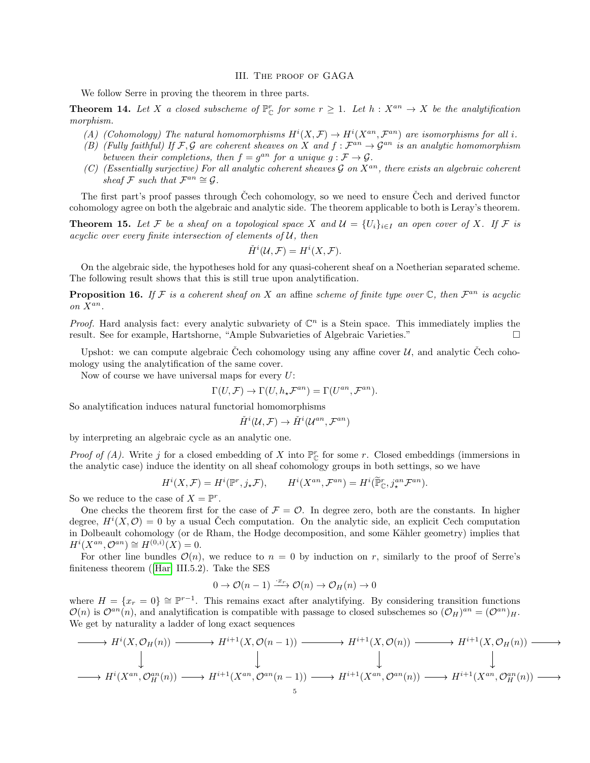#### III. The proof of GAGA

We follow Serre in proving the theorem in three parts.

**Theorem 14.** Let X a closed subscheme of  $\mathbb{P}_{\mathbb{C}}^r$  for some  $r \geq 1$ . Let  $h : X^{an} \to X$  be the analytification morphism.

- (A) (Cohomology) The natural homomorphisms  $H^{i}(X,\mathcal{F}) \to H^{i}(X^{an},\mathcal{F}^{an})$  are isomorphisms for all i.
- (B) (Fully faithful) If F, G are coherent sheaves on X and  $f : \mathcal{F}^{an} \to \mathcal{G}^{an}$  is an analytic homomorphism between their completions, then  $f = g^{an}$  for a unique  $g : \mathcal{F} \to \mathcal{G}$ .
- (C) (Essentially surjective) For all analytic coherent sheaves  $\mathcal G$  on  $X^{an}$ , there exists an algebraic coherent sheaf F such that  $\mathcal{F}^{an} \cong \mathcal{G}$ .

The first part's proof passes through Čech cohomology, so we need to ensure Čech and derived functor cohomology agree on both the algebraic and analytic side. The theorem applicable to both is Leray's theorem.

**Theorem 15.** Let F be a sheaf on a topological space X and  $\mathcal{U} = \{U_i\}_{i\in I}$  an open cover of X. If F is acyclic over every finite intersection of elements of  $U$ , then

$$
\check{H}^i(\mathcal{U}, \mathcal{F}) = H^i(X, \mathcal{F}).
$$

On the algebraic side, the hypotheses hold for any quasi-coherent sheaf on a Noetherian separated scheme. The following result shows that this is still true upon analytification.

**Proposition 16.** If F is a coherent sheaf on X an affine scheme of finite type over  $\mathbb{C}$ , then  $\mathcal{F}^{an}$  is acyclic on  $X^{an}$ .

*Proof.* Hard analysis fact: every analytic subvariety of  $\mathbb{C}^n$  is a Stein space. This immediately implies the result. See for example, Hartshorne, "Ample Subvarieties of Algebraic Varieties."

Upshot: we can compute algebraic Cech cohomology using any affine cover  $\mathcal{U}$ , and analytic Čech cohomology using the analytification of the same cover.

Now of course we have universal maps for every  $U$ :

$$
\Gamma(U,\mathcal{F}) \to \Gamma(U,h_{\star}\mathcal{F}^{an}) = \Gamma(U^{an},\mathcal{F}^{an}).
$$

So analytification induces natural functorial homomorphisms

$$
\check{H}^{i}(\mathcal{U},\mathcal{F}) \to \check{H}^{i}(\mathcal{U}^{an},\mathcal{F}^{an})
$$

by interpreting an algebraic cycle as an analytic one.

*Proof of (A).* Write j for a closed embedding of X into  $\mathbb{P}_{\mathbb{C}}^r$  for some r. Closed embeddings (immersions in the analytic case) induce the identity on all sheaf cohomology groups in both settings, so we have

$$
H^i(X,\mathcal{F}) = H^i(\mathbb{P}^r, j_*\mathcal{F}), \qquad H^i(X^{an}, \mathcal{F}^{an}) = H^i(\widetilde{\mathbb{P}}^r_{\mathbb{C}}, j^{an}_*\mathcal{F}^{an}).
$$

So we reduce to the case of  $X = \mathbb{P}^r$ .

One checks the theorem first for the case of  $\mathcal{F} = \mathcal{O}$ . In degree zero, both are the constants. In higher degree,  $H^{i}(X, \mathcal{O}) = 0$  by a usual Čech computation. On the analytic side, an explicit Cech computation in Dolbeault cohomology (or de Rham, the Hodge decomposition, and some Kähler geometry) implies that  $H^{i}(X^{an}, \mathcal{O}^{an}) \cong H^{(0,i)}(X) = 0.$ 

For other line bundles  $\mathcal{O}(n)$ , we reduce to  $n = 0$  by induction on r, similarly to the proof of Serre's finiteness theorem([\[Har\]](#page-7-2) III.5.2). Take the SES

$$
0 \to \mathcal{O}(n-1) \xrightarrow{\cdot x_r} \mathcal{O}(n) \to \mathcal{O}_H(n) \to 0
$$

where  $H = \{x_r = 0\} \cong \mathbb{P}^{r-1}$ . This remains exact after analytifying. By considering transition functions  $\mathcal{O}(n)$  is  $\mathcal{O}^{an}(n)$ , and analytification is compatible with passage to closed subschemes so  $(\mathcal{O}_H)^{an} = (\mathcal{O}^{an})_H$ . We get by naturality a ladder of long exact sequences

$$
\longrightarrow H^{i}(X, \mathcal{O}_{H}(n)) \longrightarrow H^{i+1}(X, \mathcal{O}(n-1)) \longrightarrow H^{i+1}(X, \mathcal{O}(n)) \longrightarrow H^{i+1}(X, \mathcal{O}_{H}(n)) \longrightarrow \longrightarrow H^{i+1}(X, \mathcal{O}_{H}(n)) \longrightarrow \longrightarrow H^{i+1}(X^{an}, \mathcal{O}_{H}^{an}(n)) \longrightarrow H^{i+1}(X^{an}, \mathcal{O}_{H}^{an}(n)) \longrightarrow \longrightarrow H^{i+1}(X^{an}, \mathcal{O}_{H}^{an}(n)) \longrightarrow \longrightarrow H^{i+1}(X^{an}, \mathcal{O}_{H}^{an}(n)) \longrightarrow \longrightarrow H^{i+1}(X^{an}, \mathcal{O}_{H}^{an}(n)) \longrightarrow \longrightarrow H^{i+1}(X^{an}, \mathcal{O}_{H}^{an}(n)) \longrightarrow \longrightarrow H^{i+1}(X^{an}, \mathcal{O}_{H}^{an}(n)) \longrightarrow \longrightarrow H^{i+1}(X^{an}, \mathcal{O}_{H}^{an}(n)) \longrightarrow \longrightarrow H^{i+1}(X^{an}, \mathcal{O}_{H}^{an}(n)) \longrightarrow \longrightarrow H^{i+1}(X^{an}, \mathcal{O}_{H}^{an}(n)) \longrightarrow \longrightarrow H^{i+1}(X^{an}, \mathcal{O}_{H}^{an}(n)) \longrightarrow \longrightarrow H^{i+1}(X^{an}, \mathcal{O}_{H}^{an}(n)) \longrightarrow \longrightarrow H^{i+1}(X^{an}, \mathcal{O}_{H}^{an}(n)) \longrightarrow \longrightarrow H^{i+1}(X^{an}, \mathcal{O}_{H}^{an}(n)) \longrightarrow \longrightarrow H^{i+1}(X^{an}, \mathcal{O}_{H}^{an}(n)) \longrightarrow \longrightarrow H^{i+1}(X^{an}, \mathcal{O}_{H}^{an}(n)) \longrightarrow \longrightarrow H^{i+1}(X^{an}, \mathcal{O}_{H}^{an}(n)) \longrightarrow \longrightarrow H^{i+1}(X^{an}, \mathcal{O}_{H}^{an}(n)) \longrightarrow \longrightarrow H^{i+1}(X^{an}, \mathcal{O}_{H}^{an}(n)) \longrightarrow \longrightarrow H^{i+1}(X^{an}, \mathcal{O}_{H}^{an}(n)) \longrightarrow \longrightarrow H^{i+1}(X^{an}, \mathcal{O}_{H}^{an}(n)) \longrightarrow \longrightarrow H^{i+1}(X^{an}, \mathcal{O}_{H}^{an}(n)) \longrightarrow \longrightarrow H^{i+1}(X^{an}, \mathcal{O}_{H}^{an}(n)) \longrightarrow \longrightarrow H^{i+1}(X^{an}, \mathcal{O}_{H}^{an}(n)) \longrightarrow \longrightarrow H^{i+1}(X^{an}, \math
$$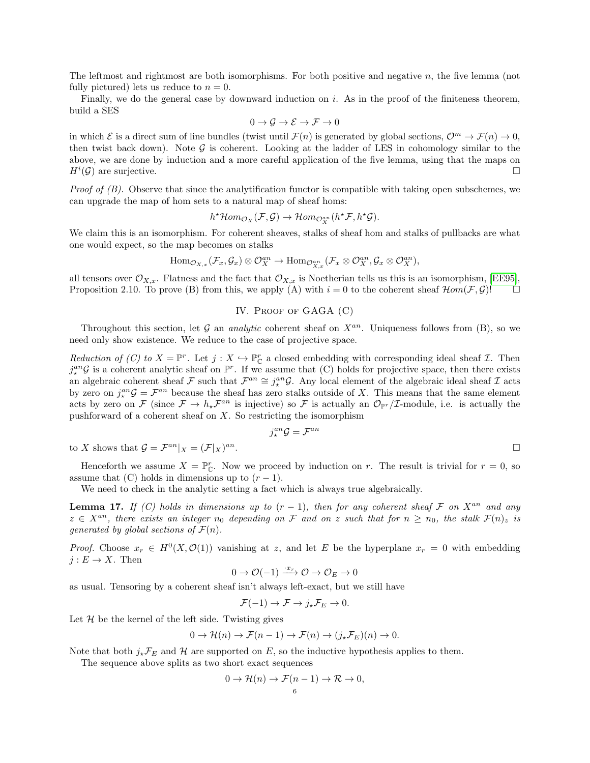The leftmost and rightmost are both isomorphisms. For both positive and negative n, the five lemma (not fully pictured) lets us reduce to  $n = 0$ .

Finally, we do the general case by downward induction on i. As in the proof of the finiteness theorem. build a SES

$$
0 \to \mathcal{G} \to \mathcal{E} \to \mathcal{F} \to 0
$$

in which  $\mathcal E$  is a direct sum of line bundles (twist until  $\mathcal F(n)$  is generated by global sections,  $\mathcal O^m \to \mathcal F(n) \to 0$ , then twist back down). Note  $\mathcal G$  is coherent. Looking at the ladder of LES in cohomology similar to the above, we are done by induction and a more careful application of the five lemma, using that the maps on  $H^i(\mathcal{G})$  are surjective.

*Proof of (B).* Observe that since the analytification functor is compatible with taking open subschemes, we can upgrade the map of hom sets to a natural map of sheaf homs:

$$
h^{\star} \mathcal{H}om_{\mathcal{O}_X}(\mathcal{F}, \mathcal{G}) \to \mathcal{H}om_{\mathcal{O}_X^{an}}(h^{\star}\mathcal{F}, h^{\star}\mathcal{G}).
$$

We claim this is an isomorphism. For coherent sheaves, stalks of sheaf hom and stalks of pullbacks are what one would expect, so the map becomes on stalks

$$
\text{Hom}_{\mathcal{O}_{X,x}}(\mathcal{F}_x,\mathcal{G}_x)\otimes\mathcal{O}_X^{an}\to\text{Hom}_{\mathcal{O}_{X,x}^{an}}(\mathcal{F}_x\otimes\mathcal{O}_X^{an},\mathcal{G}_x\otimes\mathcal{O}_X^{an}),
$$

all tensors over  $\mathcal{O}_{X,x}$ . Flatness and the fact that  $\mathcal{O}_{X,x}$  is Noetherian tells us this is an isomorphism, [\[EE95\]](#page-7-3). Proposition 2.10. To prove (B) from this, we apply (A) with  $i = 0$  to the coherent sheaf  $\mathcal{H}om(\mathcal{F}, \mathcal{G})!$ 

### IV. PROOF OF GAGA (C)

Throughout this section, let G an *analytic* coherent sheaf on  $X^{an}$ . Uniqueness follows from (B), so we need only show existence. We reduce to the case of projective space.

Reduction of (C) to  $X = \mathbb{P}^r$ . Let  $j : X \hookrightarrow \mathbb{P}^r$  a closed embedding with corresponding ideal sheaf  $\mathcal{I}$ . Then  $j_{\star}^{an}\mathcal{G}$  is a coherent analytic sheaf on  $\mathbb{P}^r$ . If we assume that (C) holds for projective space, then there exists an algebraic coherent sheaf F such that  $\mathcal{F}^{an} \cong j^{an}_{\star} \mathcal{G}$ . Any local element of the algebraic ideal sheaf I acts by zero on  $j_{\star}^{an}\mathcal{G} = \mathcal{F}^{an}$  because the sheaf has zero stalks outside of X. This means that the same element acts by zero on F (since  $\mathcal{F} \to h_* \mathcal{F}^{an}$  is injective) so F is actually an  $\mathcal{O}_{\mathbb{P}^r}/\mathcal{I}$ -module, i.e. is actually the pushforward of a coherent sheaf on  $X$ . So restricting the isomorphism

$$
j^{an}_\star\mathcal{G}=\mathcal{F}^{an}
$$

to X shows that  $\mathcal{G} = \mathcal{F}^{an}|_X = (\mathcal{F}|_X)$  $\mathbf{a}$   $\mathbf{a}$ .

Henceforth we assume  $X = \mathbb{P}_{\mathbb{C}}^r$ . Now we proceed by induction on r. The result is trivial for  $r = 0$ , so assume that  $(C)$  holds in dimensions up to  $(r-1)$ .

We need to check in the analytic setting a fact which is always true algebraically.

**Lemma 17.** If (C) holds in dimensions up to  $(r - 1)$ , then for any coherent sheaf F on  $X^{an}$  and any  $z \in X^{an}$ , there exists an integer  $n_0$  depending on F and on z such that for  $n \geq n_0$ , the stalk  $\mathcal{F}(n)_z$  is generated by global sections of  $\mathcal{F}(n)$ .

*Proof.* Choose  $x_r \in H^0(X, \mathcal{O}(1))$  vanishing at z, and let E be the hyperplane  $x_r = 0$  with embedding  $j: E \to X$ . Then

$$
0 \to \mathcal{O}(-1) \xrightarrow{\cdot x_r} \mathcal{O} \to \mathcal{O}_E \to 0
$$

as usual. Tensoring by a coherent sheaf isn't always left-exact, but we still have

$$
\mathcal{F}(-1) \to \mathcal{F} \to j_{\star} \mathcal{F}_E \to 0.
$$

Let  $H$  be the kernel of the left side. Twisting gives

$$
0 \to \mathcal{H}(n) \to \mathcal{F}(n-1) \to \mathcal{F}(n) \to (j_{\star} \mathcal{F}_E)(n) \to 0.
$$

Note that both  $j_{\star} \mathcal{F}_E$  and H are supported on E, so the inductive hypothesis applies to them.

The sequence above splits as two short exact sequences

$$
0 \to \mathcal{H}(n) \to \mathcal{F}(n-1) \to \mathcal{R} \to 0,
$$
  

$$
6
$$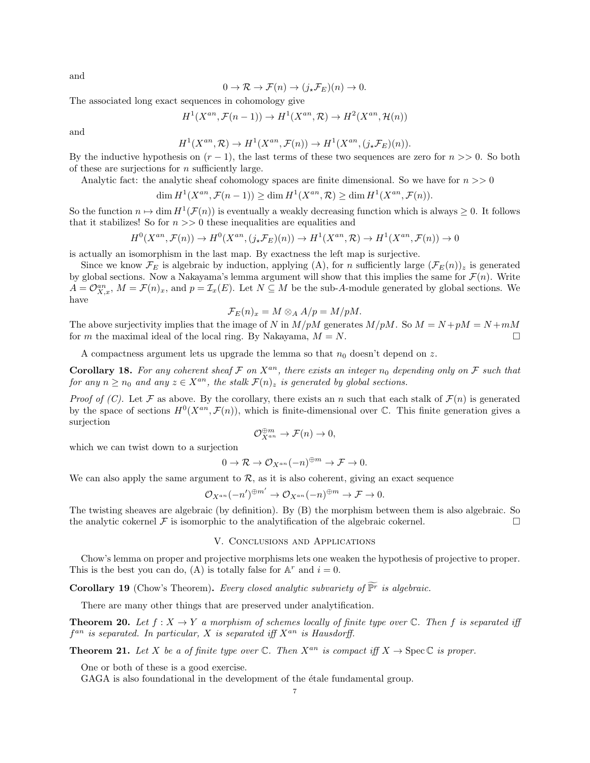and

$$
0 \to \mathcal{R} \to \mathcal{F}(n) \to (j_* \mathcal{F}_E)(n) \to 0.
$$

The associated long exact sequences in cohomology give

$$
H^1(X^{an}, \mathcal{F}(n-1)) \to H^1(X^{an}, \mathcal{R}) \to H^2(X^{an}, \mathcal{H}(n))
$$

and

$$
H^1(X^{an}, \mathcal{R}) \to H^1(X^{an}, \mathcal{F}(n)) \to H^1(X^{an}, (j_*\mathcal{F}_E)(n)).
$$

By the inductive hypothesis on  $(r - 1)$ , the last terms of these two sequences are zero for  $n \gg 0$ . So both of these are surjections for  $n$  sufficiently large.

Analytic fact: the analytic sheaf cohomology spaces are finite dimensional. So we have for  $n >> 0$ 

$$
\dim H^1(X^{an}, \mathcal{F}(n-1)) \ge \dim H^1(X^{an}, \mathcal{R}) \ge \dim H^1(X^{an}, \mathcal{F}(n)).
$$

So the function  $n \mapsto \dim H^1(\mathcal{F}(n))$  is eventually a weakly decreasing function which is always  $\geq 0$ . It follows that it stabilizes! So for  $n \gg 0$  these inequalities are equalities and

$$
H^0(X^{an}, \mathcal{F}(n)) \to H^0(X^{an}, (j_*\mathcal{F}_E)(n)) \to H^1(X^{an}, \mathcal{R}) \to H^1(X^{an}, \mathcal{F}(n)) \to 0
$$

is actually an isomorphism in the last map. By exactness the left map is surjective.

Since we know  $\mathcal{F}_E$  is algebraic by induction, applying (A), for n sufficiently large  $(\mathcal{F}_E(n))_z$  is generated by global sections. Now a Nakayama's lemma argument will show that this implies the same for  $\mathcal{F}(n)$ . Write  $A = \mathcal{O}_{X,x}^{an}$ ,  $M = \mathcal{F}(n)_x$ , and  $p = \mathcal{I}_x(E)$ . Let  $N \subseteq M$  be the sub-A-module generated by global sections. We have

$$
\mathcal{F}_E(n)_x = M \otimes_A A/p = M/pM.
$$

The above surjectivity implies that the image of N in  $M/pM$  generates  $M/pM$ . So  $M = N + pM = N + mM$ for m the maximal ideal of the local ring. By Nakayama,  $M = N$ .

A compactness argument lets us upgrade the lemma so that  $n_0$  doesn't depend on z.

Corollary 18. For any coherent sheaf  $\mathcal F$  on  $X^{an}$ , there exists an integer  $n_0$  depending only on  $\mathcal F$  such that for any  $n \ge n_0$  and any  $z \in X^{an}$ , the stalk  $\mathcal{F}(n)_z$  is generated by global sections.

*Proof of (C).* Let F as above. By the corollary, there exists an n such that each stalk of  $\mathcal{F}(n)$  is generated by the space of sections  $H^0(X^{an}, \mathcal{F}(n))$ , which is finite-dimensional over C. This finite generation gives a surjection

$$
\mathcal{O}_{X^{an}}^{\oplus m} \to \mathcal{F}(n) \to 0,
$$

which we can twist down to a surjection

$$
0 \to \mathcal{R} \to \mathcal{O}_{X^{an}}(-n)^{\oplus m} \to \mathcal{F} \to 0.
$$

We can also apply the same argument to  $R$ , as it is also coherent, giving an exact sequence

$$
\mathcal{O}_{X^{an}}(-n')^{\oplus m'} \to \mathcal{O}_{X^{an}}(-n)^{\oplus m} \to \mathcal{F} \to 0.
$$

The twisting sheaves are algebraic (by definition). By (B) the morphism between them is also algebraic. So the analytic cokernel  $\mathcal F$  is isomorphic to the analytification of the algebraic cokernel.

## V. Conclusions and Applications

Chow's lemma on proper and projective morphisms lets one weaken the hypothesis of projective to proper. This is the best you can do, (A) is totally false for  $A^r$  and  $i = 0$ .

**Corollary 19** (Chow's Theorem). Every closed analytic subvariety of  $\widetilde{\mathbb{P}^r}$  is algebraic.

There are many other things that are preserved under analytification.

**Theorem 20.** Let  $f: X \to Y$  a morphism of schemes locally of finite type over  $\mathbb{C}$ . Then f is separated iff  $f^{an}$  is separated. In particular, X is separated iff  $X^{an}$  is Hausdorff.

**Theorem 21.** Let X be a of finite type over C. Then  $X^{an}$  is compact iff  $X \to \text{Spec } \mathbb{C}$  is proper.

One or both of these is a good exercise.

GAGA is also foundational in the development of the étale fundamental group.